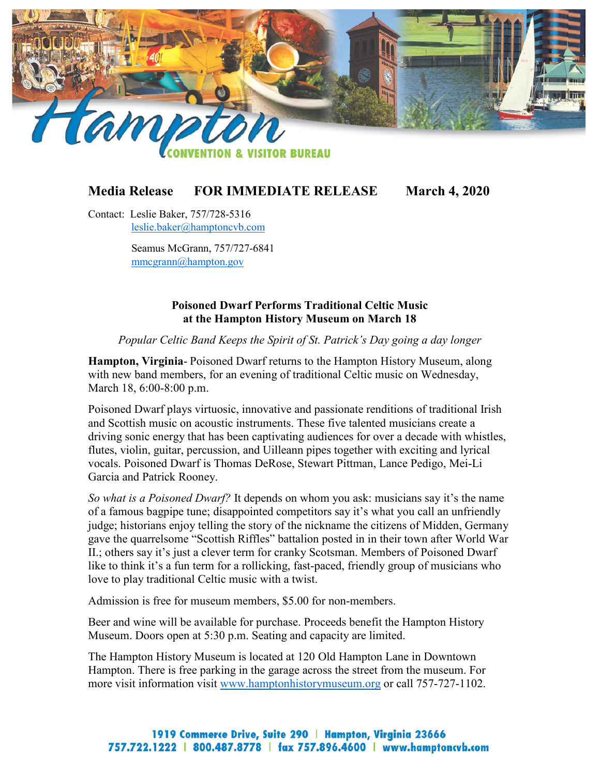

## **Media Release FOR IMMEDIATE RELEASE March 4, 2020**

Contact: Leslie Baker, 757/728-5316 [leslie.baker@hamptoncvb.com](mailto:leslie.baker@hamptoncvb.com)

> Seamus McGrann, 757/727-6841 [mmcgrann@hampton.gov](mailto:mmcgrann@hampton.gov)

## **Poisoned Dwarf Performs Traditional Celtic Music at the Hampton History Museum on March 18**

*Popular Celtic Band Keeps the Spirit of St. Patrick's Day going a day longer*

**Hampton, Virginia**- Poisoned Dwarf returns to the Hampton History Museum, along with new band members, for an evening of traditional Celtic music on Wednesday, March 18, 6:00-8:00 p.m.

Poisoned Dwarf plays virtuosic, innovative and passionate renditions of traditional Irish and Scottish music on acoustic instruments. These five talented musicians create a driving sonic energy that has been captivating audiences for over a decade with whistles, flutes, violin, guitar, percussion, and Uilleann pipes together with exciting and lyrical vocals. Poisoned Dwarf is Thomas DeRose, Stewart Pittman, Lance Pedigo, Mei-Li Garcia and Patrick Rooney.

*So what is a Poisoned Dwarf?* It depends on whom you ask: musicians say it's the name of a famous bagpipe tune; disappointed competitors say it's what you call an unfriendly judge; historians enjoy telling the story of the nickname the citizens of Midden, Germany gave the quarrelsome "Scottish Riffles" battalion posted in in their town after World War II.; others say it's just a clever term for cranky Scotsman. Members of Poisoned Dwarf like to think it's a fun term for a rollicking, fast-paced, friendly group of musicians who love to play traditional Celtic music with a twist.

Admission is free for museum members, \$5.00 for non-members.

Beer and wine will be available for purchase. Proceeds benefit the Hampton History Museum. Doors open at 5:30 p.m. Seating and capacity are limited.

The Hampton History Museum is located at 120 Old Hampton Lane in Downtown Hampton. There is free parking in the garage across the street from the museum. For more visit information visit [www.hamptonhistorymuseum.org](http://www.hamptonhistorymuseum.org/) or call 757-727-1102.